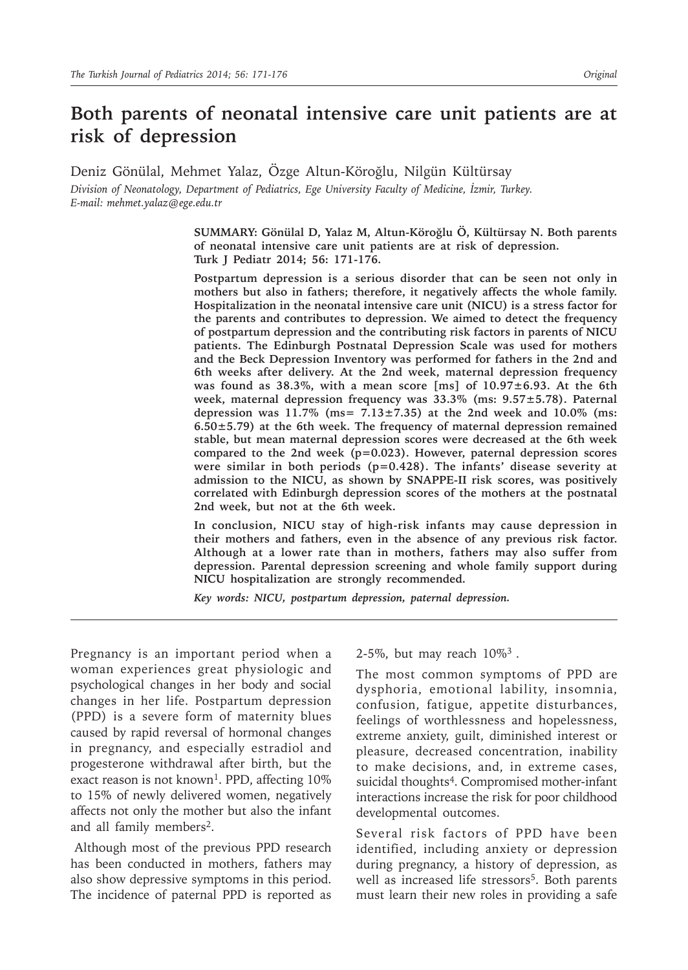# **Both parents of neonatal intensive care unit patients are at risk of depression**

Deniz Gönülal, Mehmet Yalaz, Özge Altun-Köroğlu, Nilgün Kültürsay *Division of Neonatology, Department of Pediatrics, Ege University Faculty of Medicine, İzmir, Turkey. E-mail: mehmet.yalaz@ege.edu.tr*

> **SUMMARY: Gönülal D, Yalaz M, Altun-Köroğlu Ö, Kültürsay N. Both parents of neonatal intensive care unit patients are at risk of depression. Turk J Pediatr 2014; 56: 171-176.**

> **Postpartum depression is a serious disorder that can be seen not only in mothers but also in fathers; therefore, it negatively affects the whole family. Hospitalization in the neonatal intensive care unit (NICU) is a stress factor for the parents and contributes to depression. We aimed to detect the frequency of postpartum depression and the contributing risk factors in parents of NICU patients. The Edinburgh Postnatal Depression Scale was used for mothers and the Beck Depression Inventory was performed for fathers in the 2nd and 6th weeks after delivery. At the 2nd week, maternal depression frequency was found as 38.3%, with a mean score [ms] of 10.97±6.93. At the 6th week, maternal depression frequency was 33.3% (ms: 9.57±5.78). Paternal depression was 11.7% (ms= 7.13±7.35) at the 2nd week and 10.0% (ms: 6.50±5.79) at the 6th week. The frequency of maternal depression remained stable, but mean maternal depression scores were decreased at the 6th week compared to the 2nd week (p=0.023). However, paternal depression scores were similar in both periods (p=0.428). The infants' disease severity at admission to the NICU, as shown by SNAPPE-II risk scores, was positively correlated with Edinburgh depression scores of the mothers at the postnatal 2nd week, but not at the 6th week.**

> **In conclusion, NICU stay of high-risk infants may cause depression in their mothers and fathers, even in the absence of any previous risk factor. Although at a lower rate than in mothers, fathers may also suffer from depression. Parental depression screening and whole family support during NICU hospitalization are strongly recommended.**

*Key words: NICU, postpartum depression, paternal depression.*

Pregnancy is an important period when a woman experiences great physiologic and psychological changes in her body and social changes in her life. Postpartum depression (PPD) is a severe form of maternity blues caused by rapid reversal of hormonal changes in pregnancy, and especially estradiol and progesterone withdrawal after birth, but the exact reason is not known<sup>1</sup>. PPD, affecting 10% to 15% of newly delivered women, negatively affects not only the mother but also the infant and all family members<sup>2</sup>.

Although most of the previous PPD research has been conducted in mothers, fathers may also show depressive symptoms in this period. The incidence of paternal PPD is reported as

2-5%, but may reach 10%3 *.* 

The most common symptoms of PPD are dysphoria, emotional lability, insomnia, confusion, fatigue, appetite disturbances, feelings of worthlessness and hopelessness, extreme anxiety, guilt, diminished interest or pleasure, decreased concentration, inability to make decisions, and, in extreme cases, suicidal thoughts<sup>4</sup>. Compromised mother-infant interactions increase the risk for poor childhood developmental outcomes.

Several risk factors of PPD have been identified, including anxiety or depression during pregnancy, a history of depression, as well as increased life stressors<sup>5</sup>. Both parents must learn their new roles in providing a safe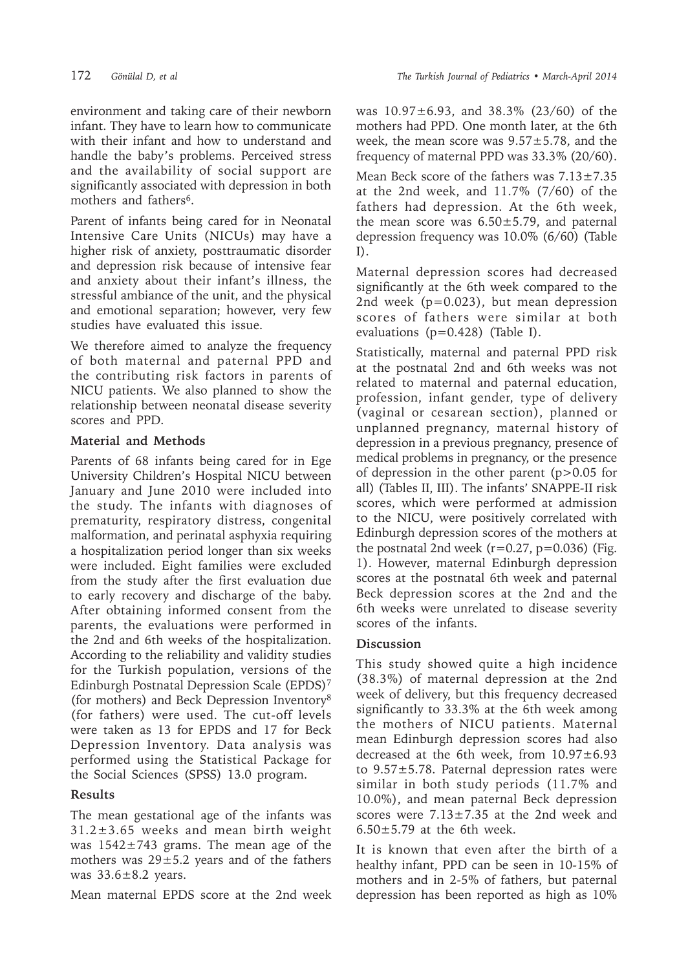environment and taking care of their newborn infant. They have to learn how to communicate with their infant and how to understand and handle the baby's problems. Perceived stress and the availability of social support are significantly associated with depression in both mothers and fathers<sup>6</sup>.

Parent of infants being cared for in Neonatal Intensive Care Units (NICUs) may have a higher risk of anxiety, posttraumatic disorder and depression risk because of intensive fear and anxiety about their infant's illness, the stressful ambiance of the unit, and the physical and emotional separation; however, very few studies have evaluated this issue.

We therefore aimed to analyze the frequency of both maternal and paternal PPD and the contributing risk factors in parents of NICU patients. We also planned to show the relationship between neonatal disease severity scores and PPD.

#### **Material and Methods**

Parents of 68 infants being cared for in Ege University Children's Hospital NICU between January and June 2010 were included into the study. The infants with diagnoses of prematurity, respiratory distress, congenital malformation, and perinatal asphyxia requiring a hospitalization period longer than six weeks were included. Eight families were excluded from the study after the first evaluation due to early recovery and discharge of the baby. After obtaining informed consent from the parents, the evaluations were performed in the 2nd and 6th weeks of the hospitalization. According to the reliability and validity studies for the Turkish population, versions of the Edinburgh Postnatal Depression Scale (EPDS)7 (for mothers) and Beck Depression Inventory8 (for fathers) were used. The cut-off levels were taken as 13 for EPDS and 17 for Beck Depression Inventory. Data analysis was performed using the Statistical Package for the Social Sciences (SPSS) 13.0 program.

## **Results**

The mean gestational age of the infants was  $31.2 \pm 3.65$  weeks and mean birth weight was  $1542 \pm 743$  grams. The mean age of the mothers was  $29 \pm 5.2$  years and of the fathers was  $33.6 \pm 8.2$  years.

Mean maternal EPDS score at the 2nd week

was 10.97±6.93, and 38.3% (23/60) of the mothers had PPD. One month later, at the 6th week, the mean score was 9.57±5.78, and the frequency of maternal PPD was 33.3% (20/60).

Mean Beck score of the fathers was  $7.13 \pm 7.35$ at the 2nd week, and 11.7% (7/60) of the fathers had depression. At the 6th week, the mean score was  $6.50 \pm 5.79$ , and paternal depression frequency was 10.0% (6/60) (Table I).

Maternal depression scores had decreased significantly at the 6th week compared to the 2nd week (p=0.023), but mean depression scores of fathers were similar at both evaluations (p=0.428) (Table I).

Statistically, maternal and paternal PPD risk at the postnatal 2nd and 6th weeks was not related to maternal and paternal education, profession, infant gender, type of delivery (vaginal or cesarean section), planned or unplanned pregnancy, maternal history of depression in a previous pregnancy, presence of medical problems in pregnancy, or the presence of depression in the other parent (p>0.05 for all) (Tables II, III). The infants' SNAPPE-II risk scores, which were performed at admission to the NICU, were positively correlated with Edinburgh depression scores of the mothers at the postnatal 2nd week  $(r=0.27, p=0.036)$  (Fig. 1). However, maternal Edinburgh depression scores at the postnatal 6th week and paternal Beck depression scores at the 2nd and the 6th weeks were unrelated to disease severity scores of the infants.

## **Discussion**

This study showed quite a high incidence (38.3%) of maternal depression at the 2nd week of delivery, but this frequency decreased significantly to 33.3% at the 6th week among the mothers of NICU patients. Maternal mean Edinburgh depression scores had also decreased at the 6th week, from 10.97±6.93 to 9.57±5.78. Paternal depression rates were similar in both study periods (11.7% and 10.0%), and mean paternal Beck depression scores were 7.13±7.35 at the 2nd week and  $6.50 \pm 5.79$  at the 6th week.

It is known that even after the birth of a healthy infant, PPD can be seen in 10-15% of mothers and in 2-5% of fathers, but paternal depression has been reported as high as 10%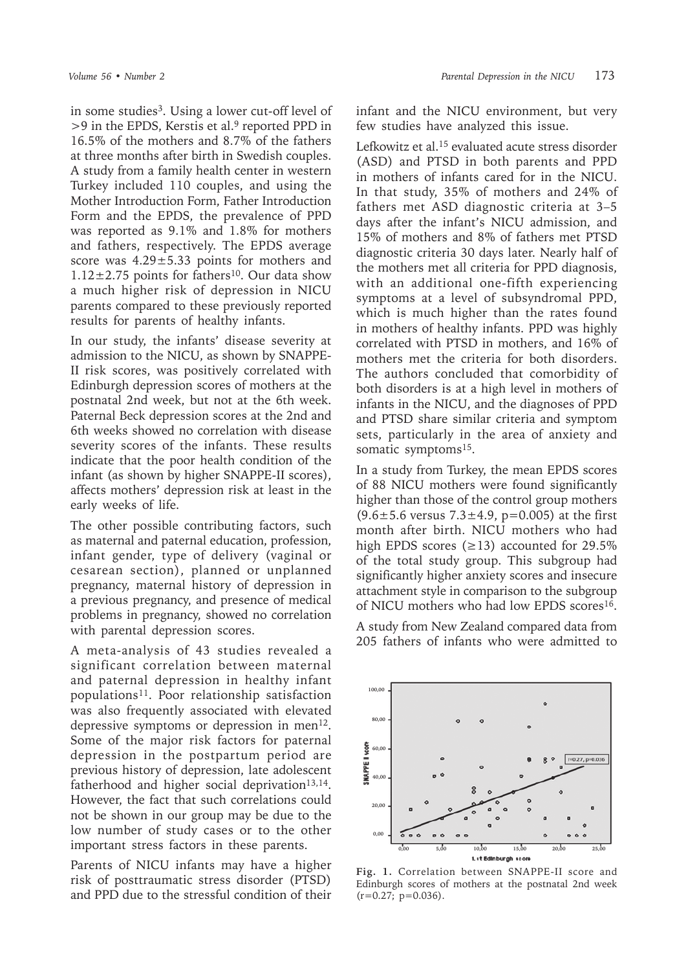in some studies<sup>3</sup>. Using a lower cut-off level of >9 in the EPDS, Kerstis et al.<sup>9</sup> reported PPD in 16.5% of the mothers and 8.7% of the fathers at three months after birth in Swedish couples. A study from a family health center in western Turkey included 110 couples, and using the Mother Introduction Form, Father Introduction Form and the EPDS, the prevalence of PPD was reported as 9.1% and 1.8% for mothers and fathers, respectively. The EPDS average score was 4.29±5.33 points for mothers and  $1.12\pm2.75$  points for fathers<sup>10</sup>. Our data show a much higher risk of depression in NICU parents compared to these previously reported results for parents of healthy infants.

In our study, the infants' disease severity at admission to the NICU, as shown by SNAPPE-II risk scores, was positively correlated with Edinburgh depression scores of mothers at the postnatal 2nd week, but not at the 6th week. Paternal Beck depression scores at the 2nd and 6th weeks showed no correlation with disease severity scores of the infants. These results indicate that the poor health condition of the infant (as shown by higher SNAPPE-II scores), affects mothers' depression risk at least in the early weeks of life.

The other possible contributing factors, such as maternal and paternal education, profession, infant gender, type of delivery (vaginal or cesarean section), planned or unplanned pregnancy, maternal history of depression in a previous pregnancy, and presence of medical problems in pregnancy, showed no correlation with parental depression scores.

A meta-analysis of 43 studies revealed a significant correlation between maternal and paternal depression in healthy infant populations<sup>11</sup>. Poor relationship satisfaction was also frequently associated with elevated depressive symptoms or depression in men<sup>12</sup>. Some of the major risk factors for paternal depression in the postpartum period are previous history of depression, late adolescent fatherhood and higher social deprivation<sup>13,14</sup>. However, the fact that such correlations could not be shown in our group may be due to the low number of study cases or to the other important stress factors in these parents.

Parents of NICU infants may have a higher risk of posttraumatic stress disorder (PTSD) and PPD due to the stressful condition of their

infant and the NICU environment, but very few studies have analyzed this issue.

Lefkowitz et al.<sup>15</sup> evaluated acute stress disorder (ASD) and PTSD in both parents and PPD in mothers of infants cared for in the NICU. In that study, 35% of mothers and 24% of fathers met ASD diagnostic criteria at 3–5 days after the infant's NICU admission, and 15% of mothers and 8% of fathers met PTSD diagnostic criteria 30 days later. Nearly half of the mothers met all criteria for PPD diagnosis, with an additional one-fifth experiencing symptoms at a level of subsyndromal PPD, which is much higher than the rates found in mothers of healthy infants. PPD was highly correlated with PTSD in mothers, and 16% of mothers met the criteria for both disorders. The authors concluded that comorbidity of both disorders is at a high level in mothers of infants in the NICU, and the diagnoses of PPD and PTSD share similar criteria and symptom sets, particularly in the area of anxiety and somatic symptoms<sup>15</sup>.

In a study from Turkey, the mean EPDS scores of 88 NICU mothers were found significantly higher than those of the control group mothers  $(9.6 \pm 5.6 \text{ versus } 7.3 \pm 4.9, \text{ p=0.005})$  at the first month after birth. NICU mothers who had high EPDS scores  $(\geq 13)$  accounted for 29.5% of the total study group. This subgroup had significantly higher anxiety scores and insecure attachment style in comparison to the subgroup of NICU mothers who had low EPDS scores<sup>16</sup>.

A study from New Zealand compared data from 205 fathers of infants who were admitted to



**Fig. 1.** Correlation between SNAPPE-II score and Edinburgh scores of mothers at the postnatal 2nd week  $(r=0.27; p=0.036)$ .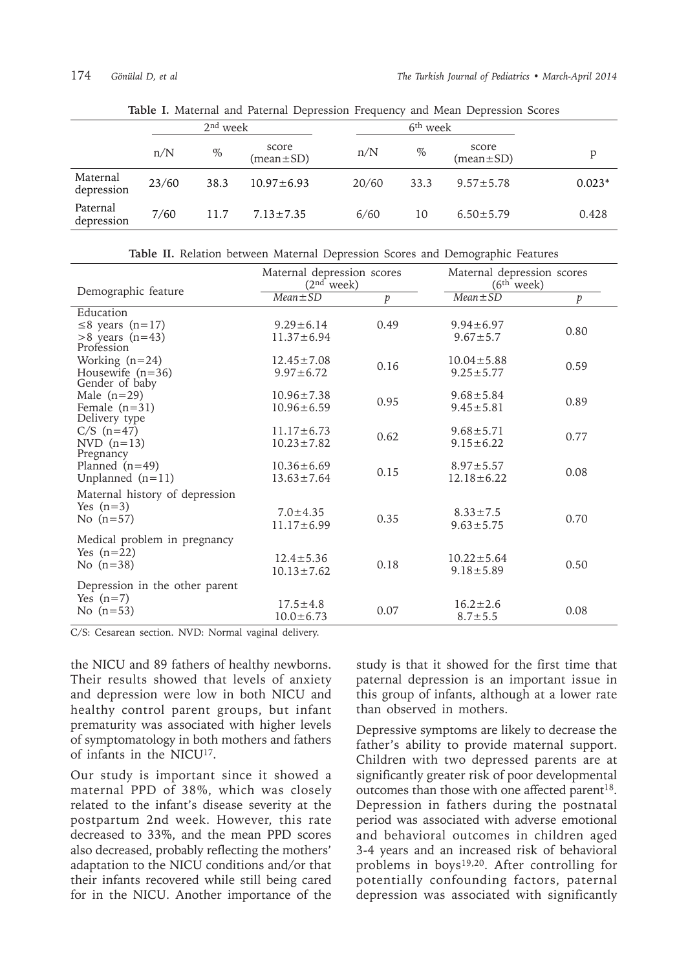|                        |       | $2nd$ week |                          |  |       |      |                                        |          |
|------------------------|-------|------------|--------------------------|--|-------|------|----------------------------------------|----------|
|                        | n/N   | $\%$       | score<br>$(mean \pm SD)$ |  | n/N   | $\%$ | score<br>$(\text{mean} \pm \text{SD})$ |          |
| Maternal<br>depression | 23/60 | 38.3       | $10.97 \pm 6.93$         |  | 20/60 | 33.3 | $9.57 \pm 5.78$                        | $0.023*$ |
| Paternal<br>depression | 7/60  | 11.7       | $7.13 \pm 7.35$          |  | 6/60  | 10   | $6.50 \pm 5.79$                        | 0.428    |

**Table I.** Maternal and Paternal Depression Frequency and Mean Depression Scores

**Table II.** Relation between Maternal Depression Scores and Demographic Features

|                                      | Maternal depression scores<br>(2 <sup>nd</sup> week) |      | Maternal depression scores<br>(6 <sup>th</sup> week) |      |  |
|--------------------------------------|------------------------------------------------------|------|------------------------------------------------------|------|--|
| Demographic feature                  | $Mean \pm SD$                                        | p    | $Mean \pm SD$                                        | p    |  |
| Education                            |                                                      |      |                                                      |      |  |
| $\leq$ 8 years (n=17)                | $9.29 \pm 6.14$                                      | 0.49 | $9.94 \pm 6.97$                                      | 0.80 |  |
| $>8$ years (n=43)                    | $11.37 \pm 6.94$                                     |      | $9.67 \pm 5.7$                                       |      |  |
| Profession                           |                                                      |      |                                                      |      |  |
| Working $(n=24)$                     | $12.45 \pm 7.08$                                     | 0.16 | $10.04 \pm 5.88$                                     | 0.59 |  |
| Housewife $(n=36)$<br>Gender of baby | $9.97 \pm 6.72$                                      |      | $9.25 \pm 5.77$                                      |      |  |
| Male $(n=29)$                        | $10.96 \pm 7.38$                                     | 0.95 | $9.68 \pm 5.84$                                      | 0.89 |  |
| Female $(n=31)$                      | $10.96 \pm 6.59$                                     |      | $9.45 \pm 5.81$                                      |      |  |
| Delivery type                        |                                                      |      |                                                      |      |  |
| $C/S$ (n=47)                         | $11.17 \pm 6.73$                                     | 0.62 | $9.68 \pm 5.71$                                      | 0.77 |  |
| NVD $(n=13)$                         | $10.23 \pm 7.82$                                     |      | $9.15 \pm 6.22$                                      |      |  |
| Pregnancy<br>Planned $(n=49)$        | $10.36 \pm 6.69$                                     |      | $8.97 \pm 5.57$                                      |      |  |
| Unplanned $(n=11)$                   | $13.63 \pm 7.64$                                     | 0.15 | $12.18 \pm 6.22$                                     | 0.08 |  |
|                                      |                                                      |      |                                                      |      |  |
| Maternal history of depression       |                                                      |      |                                                      |      |  |
| Yes $(n=3)$                          | $7.0 \pm 4.35$                                       |      | $8.33 \pm 7.5$                                       |      |  |
| No $(n=57)$                          | $11.17 \pm 6.99$                                     | 0.35 | $9.63 \pm 5.75$                                      | 0.70 |  |
| Medical problem in pregnancy         |                                                      |      |                                                      |      |  |
| Yes $(n=22)$                         |                                                      |      | $10.22 \pm 5.64$                                     |      |  |
| No $(n=38)$                          | $12.4 \pm 5.36$<br>$10.13 \pm 7.62$                  | 0.18 | $9.18 \pm 5.89$                                      | 0.50 |  |
|                                      |                                                      |      |                                                      |      |  |
| Depression in the other parent       |                                                      |      |                                                      |      |  |
| Yes $(n=7)$                          | $17.5 \pm 4.8$                                       |      | $16.2 \pm 2.6$                                       |      |  |
| No $(n=53)$                          | $10.0 \pm 6.73$                                      | 0.07 | $8.7 \pm 5.5$                                        | 0.08 |  |

C/S: Cesarean section. NVD: Normal vaginal delivery.

the NICU and 89 fathers of healthy newborns. Their results showed that levels of anxiety and depression were low in both NICU and healthy control parent groups, but infant prematurity was associated with higher levels of symptomatology in both mothers and fathers of infants in the NICU17.

Our study is important since it showed a maternal PPD of 38%, which was closely related to the infant's disease severity at the postpartum 2nd week. However, this rate decreased to 33%, and the mean PPD scores also decreased, probably reflecting the mothers' adaptation to the NICU conditions and/or that their infants recovered while still being cared for in the NICU. Another importance of the

study is that it showed for the first time that paternal depression is an important issue in this group of infants, although at a lower rate than observed in mothers.

Depressive symptoms are likely to decrease the father's ability to provide maternal support. Children with two depressed parents are at significantly greater risk of poor developmental outcomes than those with one affected parent<sup>18</sup>. Depression in fathers during the postnatal period was associated with adverse emotional and behavioral outcomes in children aged 3-4 years and an increased risk of behavioral problems in boys<sup>19,20</sup>. After controlling for potentially confounding factors, paternal depression was associated with significantly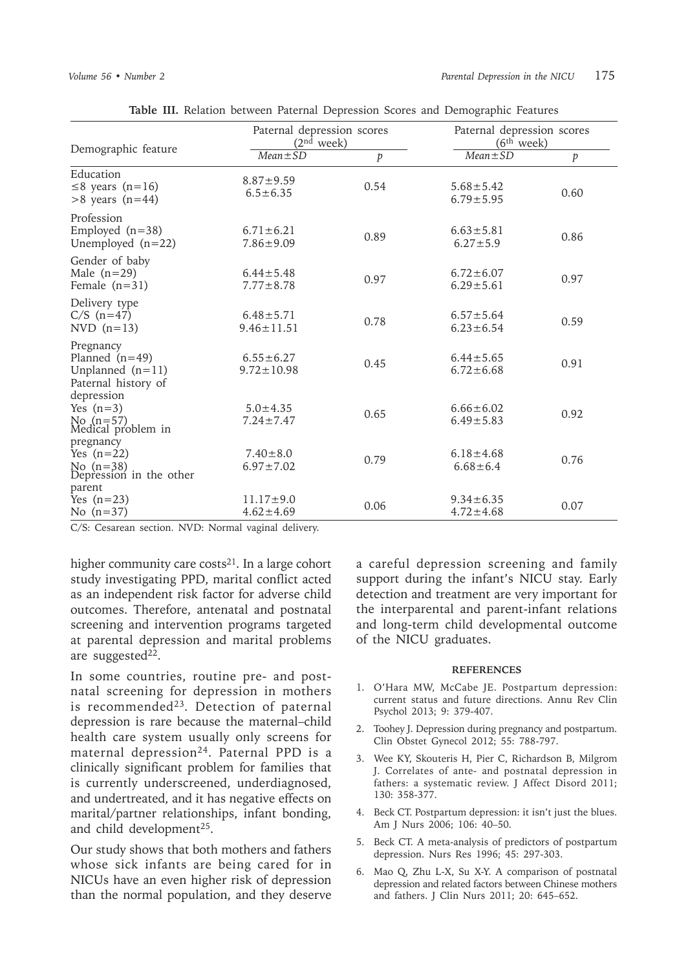|                                                                            | Paternal depression scores<br>(2 <sup>nd</sup> week) |                  | Paternal depression scores<br>(6 <sup>th</sup> week) |                  |  |
|----------------------------------------------------------------------------|------------------------------------------------------|------------------|------------------------------------------------------|------------------|--|
| Demographic feature                                                        | $Mean \pm SD$                                        | $\boldsymbol{p}$ | $Mean \pm SD$                                        | $\boldsymbol{p}$ |  |
| Education<br>$\leq$ 8 years (n=16)<br>$>8$ years (n=44)                    | $8.87 + 9.59$<br>$6.5 \pm 6.35$                      | 0.54             | $5.68 \pm 5.42$<br>$6.79 \pm 5.95$                   | 0.60             |  |
| Profession<br>Employed $(n=38)$<br>Unemployed $(n=22)$                     | $6.71 \pm 6.21$<br>$7.86 \pm 9.09$                   | 0.89             | $6.63 \pm 5.81$<br>$6.27 \pm 5.9$                    | 0.86             |  |
| Gender of baby<br>Male $(n=29)$<br>Female $(n=31)$                         | $6.44 \pm 5.48$<br>$7.77 \pm 8.78$                   | 0.97             | $6.72 \pm 6.07$<br>$6.29 \pm 5.61$                   | 0.97             |  |
| Delivery type<br>$C/S$ (n=47)<br>NVD $(n=13)$                              | $6.48 \pm 5.71$<br>$9.46 \pm 11.51$                  | 0.78             | $6.57 \pm 5.64$<br>$6.23 \pm 6.54$                   | 0.59             |  |
| Pregnancy<br>Planned $(n=49)$<br>Unplanned $(n=11)$<br>Paternal history of | $6.55 \pm 6.27$<br>$9.72 \pm 10.98$                  | 0.45             | $6.44 \pm 5.65$<br>$6.72 \pm 6.68$                   | 0.91             |  |
| depression<br>Yes $(n=3)$<br>No $(n=57)$<br>Medical problem in             | $5.0 \pm 4.35$<br>$7.24 \pm 7.47$                    | 0.65             | $6.66 \pm 6.02$<br>$6.49 \pm 5.83$                   | 0.92             |  |
| pregnancy<br>Yes $(n=22)$<br>No $(n=38)$<br>Depression in the other        | $7.40 \pm 8.0$<br>$6.97 \pm 7.02$                    | 0.79             | $6.18 \pm 4.68$<br>$6.68 \pm 6.4$                    | 0.76             |  |
| parent<br>Yes $(n=23)$<br>No $(n=37)$                                      | $11.17 \pm 9.0$<br>$4.62 \pm 4.69$                   | 0.06             | $9.34 \pm 6.35$<br>$4.72 \pm 4.68$                   | 0.07             |  |

**Table III.** Relation between Paternal Depression Scores and Demographic Features

C/S: Cesarean section. NVD: Normal vaginal delivery.

higher community care costs $21$ . In a large cohort study investigating PPD, marital conflict acted as an independent risk factor for adverse child outcomes. Therefore, antenatal and postnatal screening and intervention programs targeted at parental depression and marital problems are suggested $22$ .

In some countries, routine pre- and postnatal screening for depression in mothers is recommended23*.* Detection of paternal depression is rare because the maternal–child health care system usually only screens for maternal depression24. Paternal PPD is a clinically significant problem for families that is currently underscreened, underdiagnosed, and undertreated, and it has negative effects on marital/partner relationships, infant bonding, and child development<sup>25</sup>.

Our study shows that both mothers and fathers whose sick infants are being cared for in NICUs have an even higher risk of depression than the normal population, and they deserve a careful depression screening and family support during the infant's NICU stay. Early detection and treatment are very important for the interparental and parent-infant relations and long-term child developmental outcome of the NICU graduates.

#### **REFERENCES**

- 1. O'Hara MW, McCabe JE. Postpartum depression: current status and future directions. Annu Rev Clin Psychol 2013; 9: 379-407.
- 2. Toohey J. Depression during pregnancy and postpartum. Clin Obstet Gynecol 2012; 55: 788-797.
- 3. Wee KY, Skouteris H, Pier C, Richardson B, Milgrom J. Correlates of ante- and postnatal depression in fathers: a systematic review. J Affect Disord 2011; 130: 358-377.
- 4. Beck CT. Postpartum depression: it isn't just the blues. Am J Nurs 2006; 106: 40–50.
- 5. Beck CT. A meta-analysis of predictors of postpartum depression. Nurs Res 1996; 45: 297-303.
- 6. Mao Q, Zhu L-X, Su X-Y. A comparison of postnatal depression and related factors between Chinese mothers and fathers. J Clin Nurs 2011; 20: 645–652.